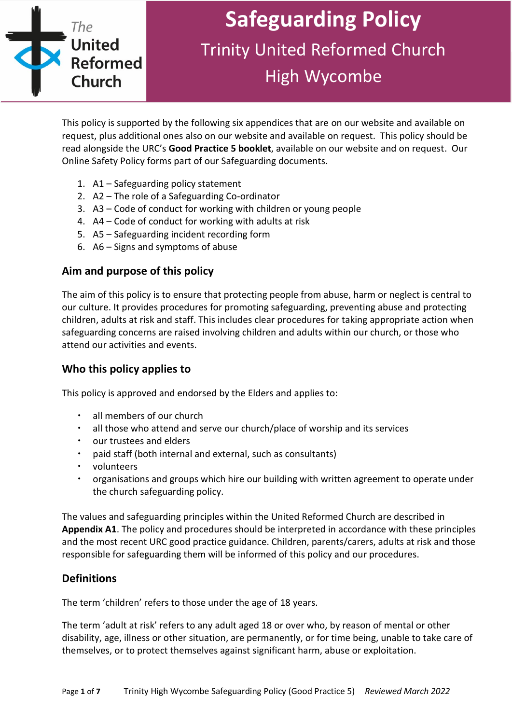

# **Safeguarding Policy** Trinity United Reformed Church High Wycombe

This policy is supported by the following six appendices that are on our website and available on request, plus additional ones also on our website and available on request. This policy should be read alongside the URC's **Good Practice 5 booklet**, available on our website and on request. Our Online Safety Policy forms part of our Safeguarding documents.

- 1. A1 Safeguarding policy statement
- 2. A2 The role of a Safeguarding Co-ordinator
- 3. A3 Code of conduct for working with children or young people
- 4. A4 Code of conduct for working with adults at risk
- 5. A5 Safeguarding incident recording form
- 6. A6 Signs and symptoms of abuse

#### **Aim and purpose of this policy**

The aim of this policy is to ensure that protecting people from abuse, harm or neglect is central to our culture. It provides procedures for promoting safeguarding, preventing abuse and protecting children, adults at risk and staff. This includes clear procedures for taking appropriate action when safeguarding concerns are raised involving children and adults within our church, or those who attend our activities and events.

#### **Who this policy applies to**

This policy is approved and endorsed by the Elders and applies to:

- all members of our church
- all those who attend and serve our church/place of worship and its services
- our trustees and elders
- paid staff (both internal and external, such as consultants)
- volunteers
- organisations and groups which hire our building with written agreement to operate under the church safeguarding policy.

The values and safeguarding principles within the United Reformed Church are described in **Appendix A1**. The policy and procedures should be interpreted in accordance with these principles and the most recent URC good practice guidance. Children, parents/carers, adults at risk and those responsible for safeguarding them will be informed of this policy and our procedures.

#### **Definitions**

The term 'children' refers to those under the age of 18 years.

The term 'adult at risk' refers to any adult aged 18 or over who, by reason of mental or other disability, age, illness or other situation, are permanently, or for time being, unable to take care of themselves, or to protect themselves against significant harm, abuse or exploitation.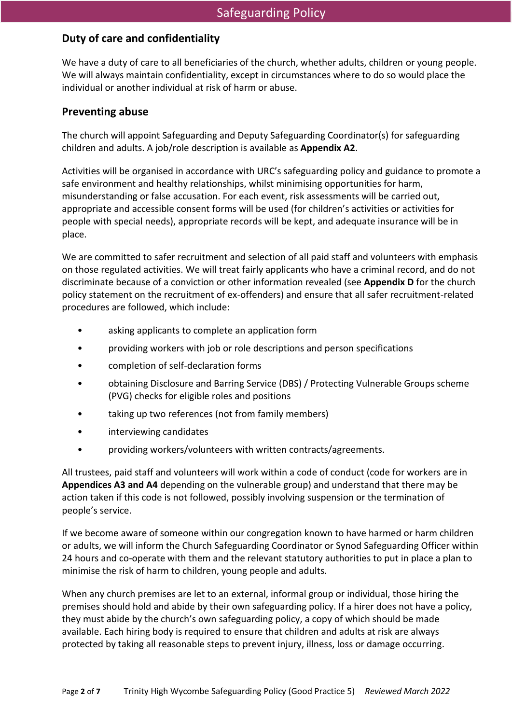#### **Duty of care and confidentiality**

We have a duty of care to all beneficiaries of the church, whether adults, children or young people. We will always maintain confidentiality, except in circumstances where to do so would place the individual or another individual at risk of harm or abuse.

#### **Preventing abuse**

The church will appoint Safeguarding and Deputy Safeguarding Coordinator(s) for safeguarding children and adults. A job/role description is available as **Appendix A2**.

Activities will be organised in accordance with URC's safeguarding policy and guidance to promote a safe environment and healthy relationships, whilst minimising opportunities for harm, misunderstanding or false accusation. For each event, risk assessments will be carried out, appropriate and accessible consent forms will be used (for children's activities or activities for people with special needs), appropriate records will be kept, and adequate insurance will be in place.

We are committed to safer recruitment and selection of all paid staff and volunteers with emphasis on those regulated activities. We will treat fairly applicants who have a criminal record, and do not discriminate because of a conviction or other information revealed (see **Appendix D** for the church policy statement on the recruitment of ex-offenders) and ensure that all safer recruitment-related procedures are followed, which include:

- asking applicants to complete an application form
- providing workers with job or role descriptions and person specifications
- completion of self-declaration forms
- obtaining Disclosure and Barring Service (DBS) / Protecting Vulnerable Groups scheme (PVG) checks for eligible roles and positions
- taking up two references (not from family members)
- interviewing candidates
- providing workers/volunteers with written contracts/agreements.

All trustees, paid staff and volunteers will work within a code of conduct (code for workers are in **Appendices A3 and A4** depending on the vulnerable group) and understand that there may be action taken if this code is not followed, possibly involving suspension or the termination of people's service.

If we become aware of someone within our congregation known to have harmed or harm children or adults, we will inform the Church Safeguarding Coordinator or Synod Safeguarding Officer within 24 hours and co-operate with them and the relevant statutory authorities to put in place a plan to minimise the risk of harm to children, young people and adults.

When any church premises are let to an external, informal group or individual, those hiring the premises should hold and abide by their own safeguarding policy. If a hirer does not have a policy, they must abide by the church's own safeguarding policy, a copy of which should be made available. Each hiring body is required to ensure that children and adults at risk are always protected by taking all reasonable steps to prevent injury, illness, loss or damage occurring.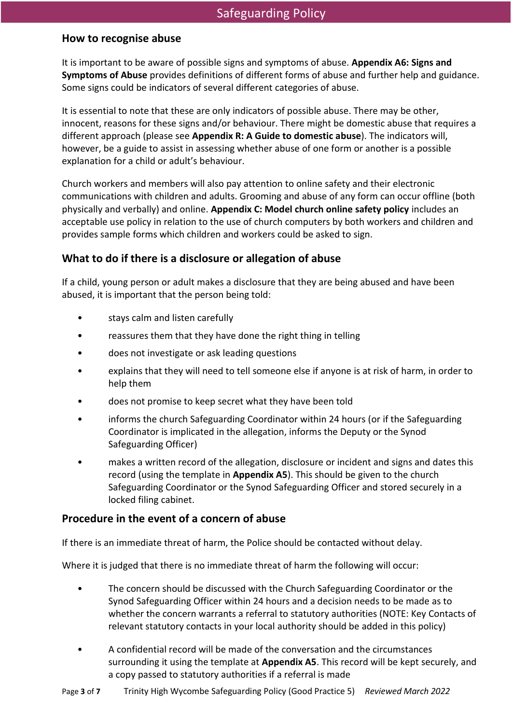#### **How to recognise abuse**

It is important to be aware of possible signs and symptoms of abuse. **Appendix A6: Signs and Symptoms of Abuse** provides definitions of different forms of abuse and further help and guidance. Some signs could be indicators of several different categories of abuse.

It is essential to note that these are only indicators of possible abuse. There may be other, innocent, reasons for these signs and/or behaviour. There might be domestic abuse that requires a different approach (please see **Appendix R: A Guide to domestic abuse**). The indicators will, however, be a guide to assist in assessing whether abuse of one form or another is a possible explanation for a child or adult's behaviour.

Church workers and members will also pay attention to online safety and their electronic communications with children and adults. Grooming and abuse of any form can occur offline (both physically and verbally) and online. **Appendix C: Model church online safety policy** includes an acceptable use policy in relation to the use of church computers by both workers and children and provides sample forms which children and workers could be asked to sign.

#### **What to do if there is a disclosure or allegation of abuse**

If a child, young person or adult makes a disclosure that they are being abused and have been abused, it is important that the person being told:

- stays calm and listen carefully
- reassures them that they have done the right thing in telling
- does not investigate or ask leading questions
- explains that they will need to tell someone else if anyone is at risk of harm, in order to help them
- does not promise to keep secret what they have been told
- informs the church Safeguarding Coordinator within 24 hours (or if the Safeguarding Coordinator is implicated in the allegation, informs the Deputy or the Synod Safeguarding Officer)
- makes a written record of the allegation, disclosure or incident and signs and dates this record (using the template in **Appendix A5**). This should be given to the church Safeguarding Coordinator or the Synod Safeguarding Officer and stored securely in a locked filing cabinet.

#### **Procedure in the event of a concern of abuse**

If there is an immediate threat of harm, the Police should be contacted without delay.

Where it is judged that there is no immediate threat of harm the following will occur:

- The concern should be discussed with the Church Safeguarding Coordinator or the Synod Safeguarding Officer within 24 hours and a decision needs to be made as to whether the concern warrants a referral to statutory authorities (NOTE: Key Contacts of relevant statutory contacts in your local authority should be added in this policy)
- A confidential record will be made of the conversation and the circumstances surrounding it using the template at **Appendix A5**. This record will be kept securely, and a copy passed to statutory authorities if a referral is made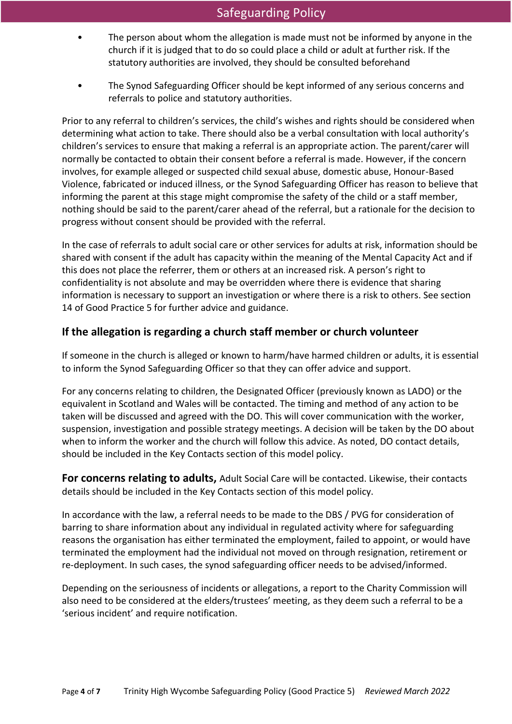- The person about whom the allegation is made must not be informed by anyone in the church if it is judged that to do so could place a child or adult at further risk. If the statutory authorities are involved, they should be consulted beforehand
- The Synod Safeguarding Officer should be kept informed of any serious concerns and referrals to police and statutory authorities.

Prior to any referral to children's services, the child's wishes and rights should be considered when determining what action to take. There should also be a verbal consultation with local authority's children's services to ensure that making a referral is an appropriate action. The parent/carer will normally be contacted to obtain their consent before a referral is made. However, if the concern involves, for example alleged or suspected child sexual abuse, domestic abuse, Honour-Based Violence, fabricated or induced illness, or the Synod Safeguarding Officer has reason to believe that informing the parent at this stage might compromise the safety of the child or a staff member, nothing should be said to the parent/carer ahead of the referral, but a rationale for the decision to progress without consent should be provided with the referral.

In the case of referrals to adult social care or other services for adults at risk, information should be shared with consent if the adult has capacity within the meaning of the Mental Capacity Act and if this does not place the referrer, them or others at an increased risk. A person's right to confidentiality is not absolute and may be overridden where there is evidence that sharing information is necessary to support an investigation or where there is a risk to others. See section 14 of Good Practice 5 for further advice and guidance.

#### **If the allegation is regarding a church staff member or church volunteer**

If someone in the church is alleged or known to harm/have harmed children or adults, it is essential to inform the Synod Safeguarding Officer so that they can offer advice and support.

For any concerns relating to children, the Designated Officer (previously known as LADO) or the equivalent in Scotland and Wales will be contacted. The timing and method of any action to be taken will be discussed and agreed with the DO. This will cover communication with the worker, suspension, investigation and possible strategy meetings. A decision will be taken by the DO about when to inform the worker and the church will follow this advice. As noted, DO contact details, should be included in the Key Contacts section of this model policy.

**For concerns relating to adults,** Adult Social Care will be contacted. Likewise, their contacts details should be included in the Key Contacts section of this model policy.

In accordance with the law, a referral needs to be made to the DBS / PVG for consideration of barring to share information about any individual in regulated activity where for safeguarding reasons the organisation has either terminated the employment, failed to appoint, or would have terminated the employment had the individual not moved on through resignation, retirement or re-deployment. In such cases, the synod safeguarding officer needs to be advised/informed.

Depending on the seriousness of incidents or allegations, a report to the Charity Commission will also need to be considered at the elders/trustees' meeting, as they deem such a referral to be a 'serious incident' and require notification.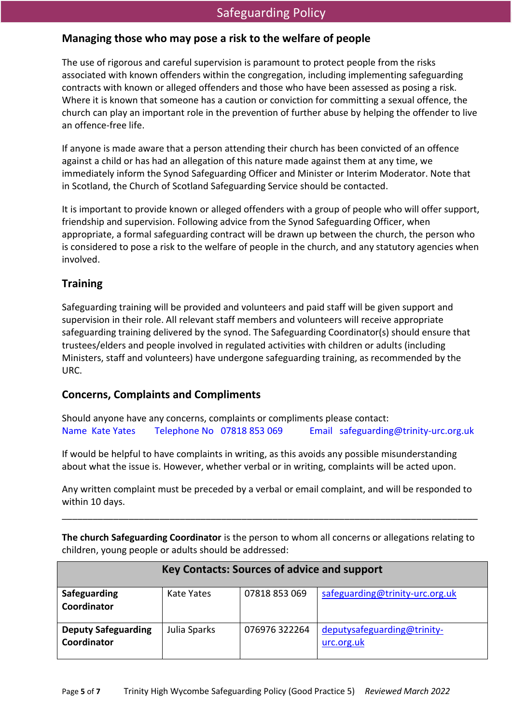### Safeguarding Policy

#### **Managing those who may pose a risk to the welfare of people**

The use of rigorous and careful supervision is paramount to protect people from the risks associated with known offenders within the congregation, including implementing safeguarding contracts with known or alleged offenders and those who have been assessed as posing a risk. Where it is known that someone has a caution or conviction for committing a sexual offence, the church can play an important role in the prevention of further abuse by helping the offender to live an offence-free life.

If anyone is made aware that a person attending their church has been convicted of an offence against a child or has had an allegation of this nature made against them at any time, we immediately inform the Synod Safeguarding Officer and Minister or Interim Moderator. Note that in Scotland, the Church of Scotland Safeguarding Service should be contacted.

It is important to provide known or alleged offenders with a group of people who will offer support, friendship and supervision. Following advice from the Synod Safeguarding Officer, when appropriate, a formal safeguarding contract will be drawn up between the church, the person who is considered to pose a risk to the welfare of people in the church, and any statutory agencies when involved.

#### **Training**

Safeguarding training will be provided and volunteers and paid staff will be given support and supervision in their role. All relevant staff members and volunteers will receive appropriate safeguarding training delivered by the synod. The Safeguarding Coordinator(s) should ensure that trustees/elders and people involved in regulated activities with children or adults (including Ministers, staff and volunteers) have undergone safeguarding training, as recommended by the URC.

#### **Concerns, Complaints and Compliments**

Should anyone have any concerns, complaints or compliments please contact: Name Kate Yates Telephone No 07818 853 069 Email safeguarding@trinity-urc.org.uk

If would be helpful to have complaints in writing, as this avoids any possible misunderstanding about what the issue is. However, whether verbal or in writing, complaints will be acted upon.

Any written complaint must be preceded by a verbal or email complaint, and will be responded to within 10 days.

\_\_\_\_\_\_\_\_\_\_\_\_\_\_\_\_\_\_\_\_\_\_\_\_\_\_\_\_\_\_\_\_\_\_\_\_\_\_\_\_\_\_\_\_\_\_\_\_\_\_\_\_\_\_\_\_\_\_\_\_\_\_\_\_\_\_\_\_\_\_\_\_\_\_\_\_\_\_\_\_\_

**The church Safeguarding Coordinator** is the person to whom all concerns or allegations relating to children, young people or adults should be addressed:

| <b>Key Contacts: Sources of advice and support</b> |              |               |                                           |
|----------------------------------------------------|--------------|---------------|-------------------------------------------|
| Safeguarding<br>Coordinator                        | Kate Yates   | 07818 853 069 | safeguarding@trinity-urc.org.uk           |
| <b>Deputy Safeguarding</b><br>Coordinator          | Julia Sparks | 076976 322264 | deputysafeguarding@trinity-<br>urc.org.uk |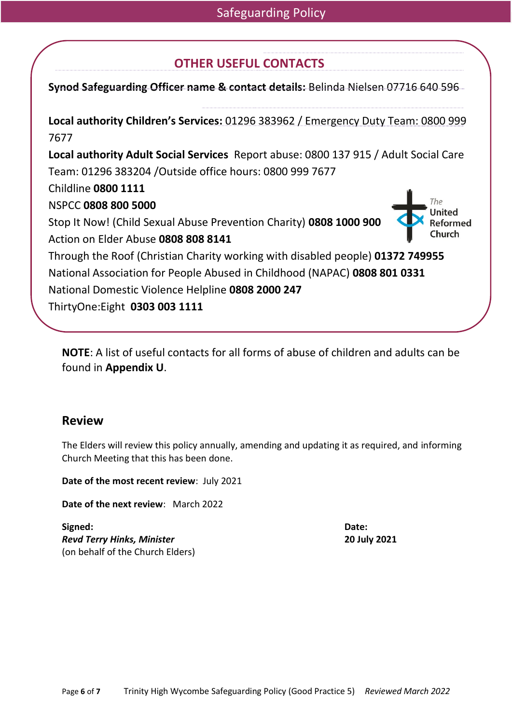## **OTHER USEFUL CONTACTS**

**Synod Safeguarding Officer name & contact details:** Belinda Nielsen 07716 640 596

**Local authority Children's Services:** 01296 383962 / Emergency Duty Team: 0800 999 7677 **Local authority Adult Social Services** Report abuse: 0800 137 915 / Adult Social Care Team: 01296 383204 /Outside office hours: 0800 999 7677 Childline **0800 1111** The NSPCC **0808 800 5000** Stop It Now! (Child Sexual Abuse Prevention Charity) **0808 1000 900** Action on Elder Abuse **0808 808 8141** Through the Roof (Christian Charity working with disabled people) **01372 749955** National Association for People Abused in Childhood (NAPAC) **0808 801 0331** National Domestic Violence Helpline **0808 2000 247** ThirtyOne:Eight **0303 003 1111**

**NOTE**: A list of useful contacts for all forms of abuse of children and adults can be found in **Appendix U**.

#### **Review**

The Elders will review this policy annually, amending and updating it as required, and informing Church Meeting that this has been done.

**Date of the most recent review**: July 2021

**Date of the next review**: March 2022

**Signed: Date:** *Revd Terry Hinks, Minister* **20 July 2021** (on behalf of the Church Elders)